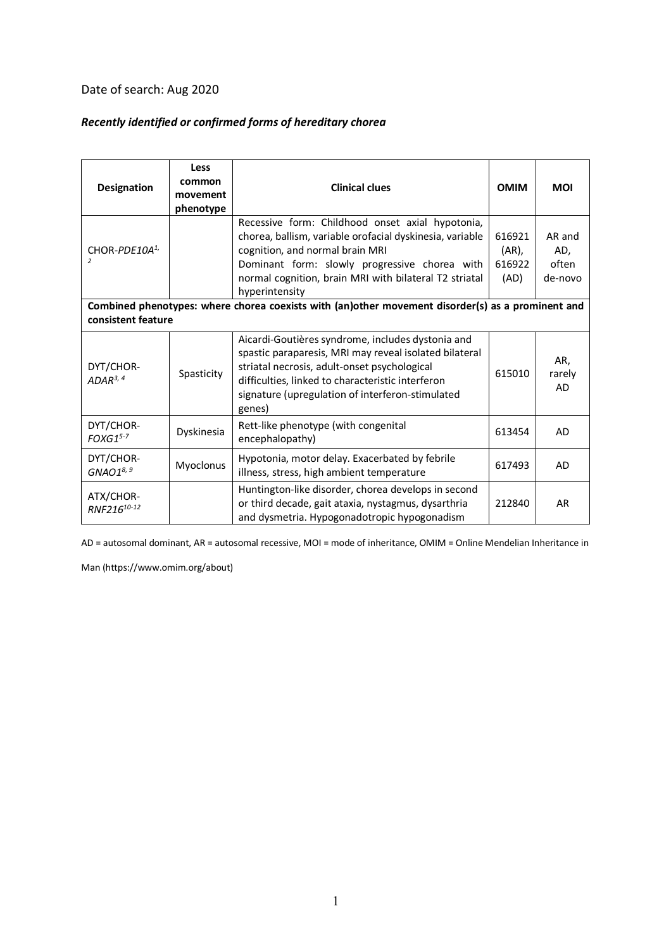## Date of search: Aug 2020

## *Recently identified or confirmed forms of hereditary chorea*

| Designation                                                                                                             | Less<br>common<br>movement<br>phenotype | <b>Clinical clues</b>                                                                                                                                                                                                                                                          | <b>OMIM</b>                          | <b>MOI</b>                        |
|-------------------------------------------------------------------------------------------------------------------------|-----------------------------------------|--------------------------------------------------------------------------------------------------------------------------------------------------------------------------------------------------------------------------------------------------------------------------------|--------------------------------------|-----------------------------------|
| CHOR-PDE10A <sup>1</sup><br>$\overline{z}$                                                                              |                                         | Recessive form: Childhood onset axial hypotonia,<br>chorea, ballism, variable orofacial dyskinesia, variable<br>cognition, and normal brain MRI<br>Dominant form: slowly progressive chorea with<br>normal cognition, brain MRI with bilateral T2 striatal<br>hyperintensity   | 616921<br>$(AR)$ ,<br>616922<br>(AD) | AR and<br>AD,<br>often<br>de-novo |
| Combined phenotypes: where chorea coexists with (an)other movement disorder(s) as a prominent and<br>consistent feature |                                         |                                                                                                                                                                                                                                                                                |                                      |                                   |
| DYT/CHOR-<br>$ADAR^{3,4}$                                                                                               | Spasticity                              | Aicardi-Goutières syndrome, includes dystonia and<br>spastic paraparesis, MRI may reveal isolated bilateral<br>striatal necrosis, adult-onset psychological<br>difficulties, linked to characteristic interferon<br>signature (upregulation of interferon-stimulated<br>genes) | 615010                               | AR,<br>rarely<br><b>AD</b>        |
| DYT/CHOR-<br>$FOXG1^{5-7}$                                                                                              | Dyskinesia                              | Rett-like phenotype (with congenital<br>encephalopathy)                                                                                                                                                                                                                        | 613454                               | AD                                |
| DYT/CHOR-<br>$GNAO1^{8, 9}$                                                                                             | Myoclonus                               | Hypotonia, motor delay. Exacerbated by febrile<br>illness, stress, high ambient temperature                                                                                                                                                                                    | 617493                               | <b>AD</b>                         |
| ATX/CHOR-<br>RNF216 <sup>10-12</sup>                                                                                    |                                         | Huntington-like disorder, chorea develops in second<br>or third decade, gait ataxia, nystagmus, dysarthria<br>and dysmetria. Hypogonadotropic hypogonadism                                                                                                                     | 212840                               | AR                                |

AD = autosomal dominant, AR = autosomal recessive, MOI = mode of inheritance, OMIM = Online Mendelian Inheritance in

Man (https://www.omim.org/about)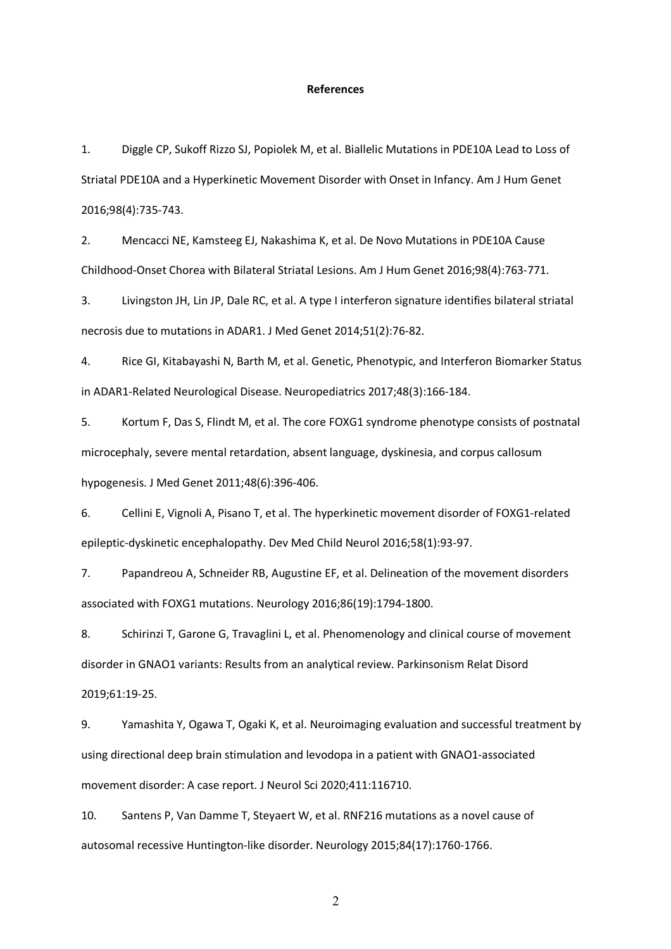## **References**

1. Diggle CP, Sukoff Rizzo SJ, Popiolek M, et al. Biallelic Mutations in PDE10A Lead to Loss of Striatal PDE10A and a Hyperkinetic Movement Disorder with Onset in Infancy. Am J Hum Genet 2016;98(4):735-743.

2. Mencacci NE, Kamsteeg EJ, Nakashima K, et al. De Novo Mutations in PDE10A Cause Childhood-Onset Chorea with Bilateral Striatal Lesions. Am J Hum Genet 2016;98(4):763-771.

3. Livingston JH, Lin JP, Dale RC, et al. A type I interferon signature identifies bilateral striatal necrosis due to mutations in ADAR1. J Med Genet 2014;51(2):76-82.

4. Rice GI, Kitabayashi N, Barth M, et al. Genetic, Phenotypic, and Interferon Biomarker Status in ADAR1-Related Neurological Disease. Neuropediatrics 2017;48(3):166-184.

5. Kortum F, Das S, Flindt M, et al. The core FOXG1 syndrome phenotype consists of postnatal microcephaly, severe mental retardation, absent language, dyskinesia, and corpus callosum hypogenesis. J Med Genet 2011;48(6):396-406.

6. Cellini E, Vignoli A, Pisano T, et al. The hyperkinetic movement disorder of FOXG1-related epileptic-dyskinetic encephalopathy. Dev Med Child Neurol 2016;58(1):93-97.

7. Papandreou A, Schneider RB, Augustine EF, et al. Delineation of the movement disorders associated with FOXG1 mutations. Neurology 2016;86(19):1794-1800.

8. Schirinzi T, Garone G, Travaglini L, et al. Phenomenology and clinical course of movement disorder in GNAO1 variants: Results from an analytical review. Parkinsonism Relat Disord 2019;61:19-25.

9. Yamashita Y, Ogawa T, Ogaki K, et al. Neuroimaging evaluation and successful treatment by using directional deep brain stimulation and levodopa in a patient with GNAO1-associated movement disorder: A case report. J Neurol Sci 2020;411:116710.

10. Santens P, Van Damme T, Steyaert W, et al. RNF216 mutations as a novel cause of autosomal recessive Huntington-like disorder. Neurology 2015;84(17):1760-1766.

2